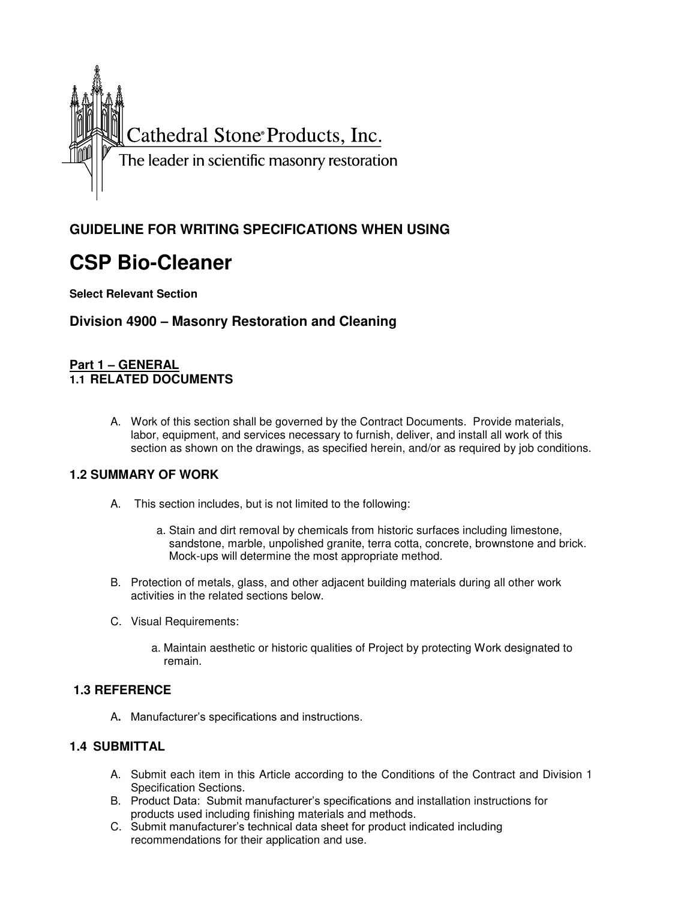

# **GUIDELINE FOR WRITING SPECIFICATIONS WHEN USING**

# **CSP Bio-Cleaner**

**Select Relevant Section** 

# **Division 4900 – Masonry Restoration and Cleaning**

#### **Part 1 – GENERAL 1.1 RELATED DOCUMENTS**

A. Work of this section shall be governed by the Contract Documents. Provide materials, labor, equipment, and services necessary to furnish, deliver, and install all work of this section as shown on the drawings, as specified herein, and/or as required by job conditions.

# **1.2 SUMMARY OF WORK**

- A. This section includes, but is not limited to the following:
	- a. Stain and dirt removal by chemicals from historic surfaces including limestone, sandstone, marble, unpolished granite, terra cotta, concrete, brownstone and brick. Mock-ups will determine the most appropriate method.
- B. Protection of metals, glass, and other adjacent building materials during all other work activities in the related sections below.
- C. Visual Requirements:
	- a. Maintain aesthetic or historic qualities of Project by protecting Work designated to remain.

# **1.3 REFERENCE**

A**.** Manufacturer's specifications and instructions.

# **1.4 SUBMITTAL**

- A. Submit each item in this Article according to the Conditions of the Contract and Division 1 Specification Sections.
- B. Product Data: Submit manufacturer's specifications and installation instructions for products used including finishing materials and methods.
- C. Submit manufacturer's technical data sheet for product indicated including recommendations for their application and use.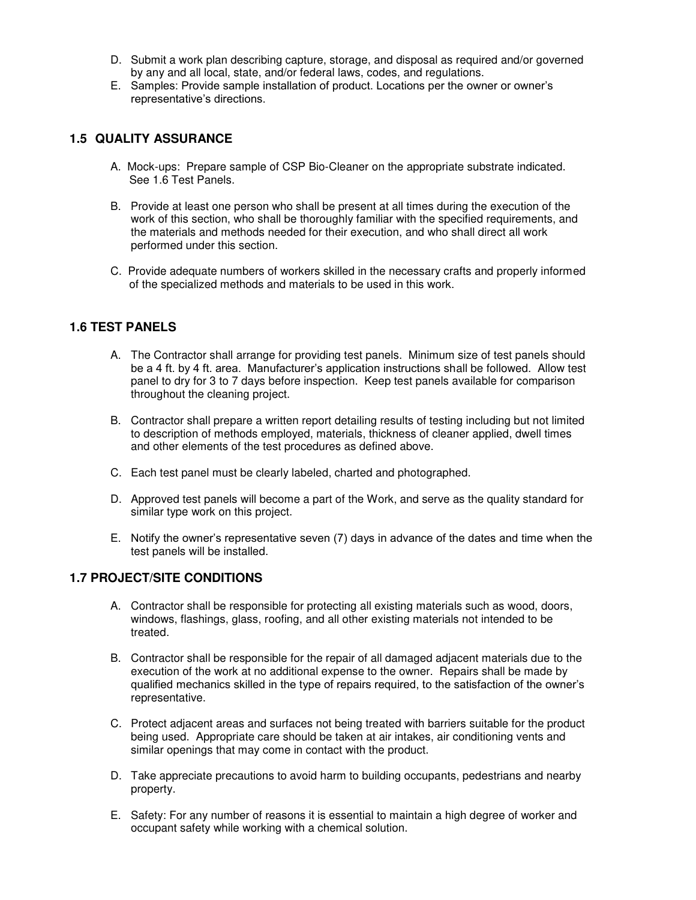- D. Submit a work plan describing capture, storage, and disposal as required and/or governed by any and all local, state, and/or federal laws, codes, and regulations.
- E. Samples: Provide sample installation of product. Locations per the owner or owner's representative's directions.

#### **1.5 QUALITY ASSURANCE**

- A. Mock-ups: Prepare sample of CSP Bio-Cleaner on the appropriate substrate indicated. See 1.6 Test Panels.
- B. Provide at least one person who shall be present at all times during the execution of the work of this section, who shall be thoroughly familiar with the specified requirements, and the materials and methods needed for their execution, and who shall direct all work performed under this section.
- C. Provide adequate numbers of workers skilled in the necessary crafts and properly informed of the specialized methods and materials to be used in this work.

# **1.6 TEST PANELS**

- A. The Contractor shall arrange for providing test panels. Minimum size of test panels should be a 4 ft. by 4 ft. area. Manufacturer's application instructions shall be followed. Allow test panel to dry for 3 to 7 days before inspection. Keep test panels available for comparison throughout the cleaning project.
- B. Contractor shall prepare a written report detailing results of testing including but not limited to description of methods employed, materials, thickness of cleaner applied, dwell times and other elements of the test procedures as defined above.
- C. Each test panel must be clearly labeled, charted and photographed.
- D. Approved test panels will become a part of the Work, and serve as the quality standard for similar type work on this project.
- E. Notify the owner's representative seven (7) days in advance of the dates and time when the test panels will be installed.

#### **1.7 PROJECT/SITE CONDITIONS**

- A. Contractor shall be responsible for protecting all existing materials such as wood, doors, windows, flashings, glass, roofing, and all other existing materials not intended to be treated.
- B. Contractor shall be responsible for the repair of all damaged adjacent materials due to the execution of the work at no additional expense to the owner. Repairs shall be made by qualified mechanics skilled in the type of repairs required, to the satisfaction of the owner's representative.
- C. Protect adjacent areas and surfaces not being treated with barriers suitable for the product being used. Appropriate care should be taken at air intakes, air conditioning vents and similar openings that may come in contact with the product.
- D. Take appreciate precautions to avoid harm to building occupants, pedestrians and nearby property.
- E. Safety: For any number of reasons it is essential to maintain a high degree of worker and occupant safety while working with a chemical solution.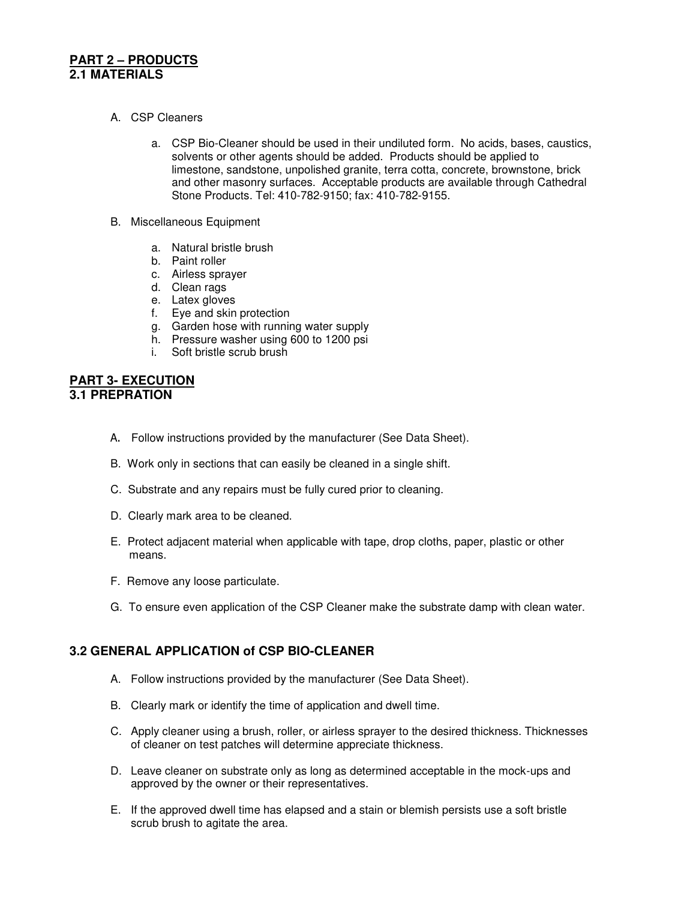#### **PART 2 – PRODUCTS 2.1 MATERIALS**

- A. CSP Cleaners
	- a. CSP Bio-Cleaner should be used in their undiluted form. No acids, bases, caustics, solvents or other agents should be added. Products should be applied to limestone, sandstone, unpolished granite, terra cotta, concrete, brownstone, brick and other masonry surfaces. Acceptable products are available through Cathedral Stone Products. Tel: 410-782-9150; fax: 410-782-9155.
- B. Miscellaneous Equipment
	- a. Natural bristle brush
	- b. Paint roller
	- c. Airless sprayer
	- d. Clean rags
	- e. Latex gloves
	- f. Eye and skin protection
	- g. Garden hose with running water supply
	- h. Pressure washer using 600 to 1200 psi
	- i. Soft bristle scrub brush

#### **PART 3- EXECUTION 3.1 PREPRATION**

- A. Follow instructions provided by the manufacturer (See Data Sheet).
- B. Work only in sections that can easily be cleaned in a single shift.
- C. Substrate and any repairs must be fully cured prior to cleaning.
- D. Clearly mark area to be cleaned.
- E. Protect adjacent material when applicable with tape, drop cloths, paper, plastic or other means.
- F. Remove any loose particulate.
- G. To ensure even application of the CSP Cleaner make the substrate damp with clean water.

# **3.2 GENERAL APPLICATION of CSP BIO-CLEANER**

- A. Follow instructions provided by the manufacturer (See Data Sheet).
- B. Clearly mark or identify the time of application and dwell time.
- C. Apply cleaner using a brush, roller, or airless sprayer to the desired thickness. Thicknesses of cleaner on test patches will determine appreciate thickness.
- D. Leave cleaner on substrate only as long as determined acceptable in the mock-ups and approved by the owner or their representatives.
- E. If the approved dwell time has elapsed and a stain or blemish persists use a soft bristle scrub brush to agitate the area.